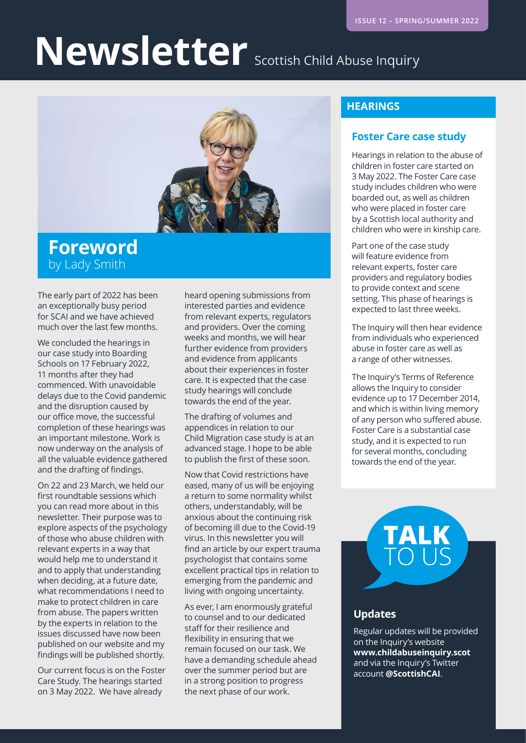## Newsletter Scottish Child Abuse Inquiry



#### **Foreword**  by Lady Smith

The early part of 2022 has been an exceptionally busy period for SCAI and we have achieved much over the last few months.

We concluded the hearings in our case study into Boarding Schools on 17 February 2022, 11 months after they had commenced. With unavoidable delays due to the Covid pandemic and the disruption caused by our office move, the successful completion of these hearings was an important milestone. Work is now underway on the analysis of all the valuable evidence gathered and the drafting of findings.

On 22 and 23 March, we held our first roundtable sessions which you can read more about in this newsletter. Their purpose was to explore aspects of the psychology of those who abuse children with relevant experts in a way that would help me to understand it and to apply that understanding when deciding, at a future date, what recommendations I need to make to protect children in care from abuse. The papers written by the experts in relation to the issues discussed have now been published on our website and my findings will be published shortly.

Our current focus is on the Foster Care Study. The hearings started on 3 May 2022. We have already

heard opening submissions from interested parties and evidence from relevant experts, regulators and providers. Over the coming weeks and months, we will hear further evidence from providers and evidence from applicants about their experiences in foster care. It is expected that the case study hearings will conclude towards the end of the year.

The drafting of volumes and appendices in relation to our Child Migration case study is at an advanced stage. I hope to be able to publish the first of these soon.

Now that Covid restrictions have eased, many of us will be enjoying a return to some normality whilst others, understandably, will be anxious about the continuing risk of becoming ill due to the Covid-19 virus. In this newsletter you will find an article by our expert trauma psychologist that contains some excellent practical tips in relation to emerging from the pandemic and living with ongoing uncertainty.

As ever, I am enormously grateful to counsel and to our dedicated staff for their resilience and flexibility in ensuring that we remain focused on our task. We have a demanding schedule ahead over the summer period but are in a strong position to progress the next phase of our work.

#### **HEARINGS**

#### **Foster Care case study**

Hearings in relation to the abuse of children in foster care started on 3 May 2022. The Foster Care case study includes children who were boarded out, as well as children who were placed in foster care by a Scottish local authority and children who were in kinship care.

Part one of the case study will feature evidence from relevant experts, foster care providers and regulatory bodies to provide context and scene setting. This phase of hearings is expected to last three weeks.

The Inquiry will then hear evidence from individuals who experienced abuse in foster care as well as a range of other witnesses.

The Inquiry's Terms of Reference allows the Inquiry to consider evidence up to 17 December 2014, and which is within living memory of any person who suffered abuse. Foster Care is a substantial case study, and it is expected to run for several months, concluding towards the end of the year.

# TALK

#### **Updates**

Regular updates will be provided on the Inquiry's website **[www.childabuseinquiry.scot](http://www.childabuseinquiry.scot)** and via the Inquiry's Twitter account **@ScottishCAI**.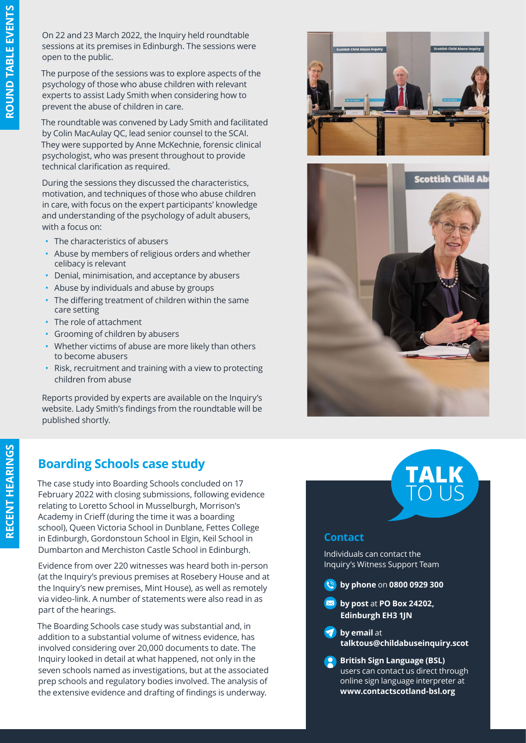On 22 and 23 March 2022, the Inquiry held roundtable sessions at its premises in Edinburgh. The sessions were open to the public.

The purpose of the sessions was to explore aspects of the psychology of those who abuse children with relevant experts to assist Lady Smith when considering how to prevent the abuse of children in care.

The roundtable was convened by Lady Smith and facilitated by Colin MacAulay QC, lead senior counsel to the SCAI. They were supported by Anne McKechnie, forensic clinical psychologist, who was present throughout to provide technical clarification as required.

During the sessions they discussed the characteristics, motivation, and techniques of those who abuse children in care, with focus on the expert participants' knowledge and understanding of the psychology of adult abusers, with a focus on:

- The characteristics of abusers
- Abuse by members of religious orders and whether celibacy is relevant
- Denial, minimisation, and acceptance by abusers
- Abuse by individuals and abuse by groups
- The differing treatment of children within the same care setting
- The role of attachment
- Grooming of children by abusers
- Whether victims of abuse are more likely than others to become abusers
- Risk, recruitment and training with a view to protecting children from abuse

Reports provided by experts are available on the Inquiry's website. Lady Smith's findings from the roundtable will be published shortly.





#### **Boarding Schools case study**

The case study into Boarding Schools concluded on 17 February 2022 with closing submissions, following evidence relating to Loretto School in Musselburgh, Morrison's Academy in Crieff (during the time it was a boarding school), Queen Victoria School in Dunblane, Fettes College in Edinburgh, Gordonstoun School in Elgin, Keil School in Dumbarton and Merchiston Castle School in Edinburgh.

Evidence from over 220 witnesses was heard both in-person (at the Inquiry's previous premises at Rosebery House and at the Inquiry's new premises, Mint House), as well as remotely via video-link. A number of statements were also read in as part of the hearings.

The Boarding Schools case study was substantial and, in addition to a substantial volume of witness evidence, has involved considering over 20,000 documents to date. The Inquiry looked in detail at what happened, not only in the seven schools named as investigations, but at the associated prep schools and regulatory bodies involved. The analysis of the extensive evidence and drafting of findings is underway.



#### **Contact**

Individuals can contact the Inquiry's Witness Support Team

**by phone** on **0800 0929 300** 

**by** post at **PO Box 24202, Edinburgh EH3 1JN**

**by email** at **[talktous@childabuseinquiry.scot](mailto:?subject=)**

**British Sign Language (BSL)** users can contact us direct through online sign language interpreter at **[www.contactscotland-bsl.org](http://www.contactscotland-bsl.org)**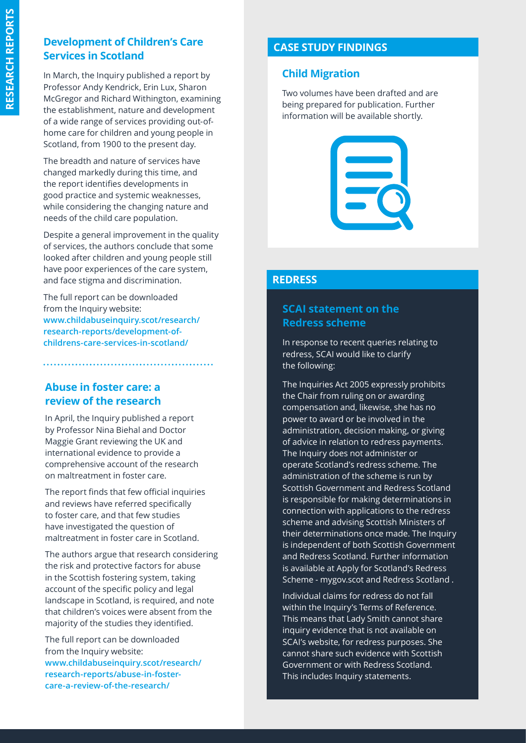#### **Development of Children's Care Services in Scotland**

In March, the Inquiry published a report by Professor Andy Kendrick, Erin Lux, Sharon McGregor and Richard Withington, examining the establishment, nature and development of a wide range of services providing out-ofhome care for children and young people in Scotland, from 1900 to the present day.

The breadth and nature of services have changed markedly during this time, and the report identifies developments in good practice and systemic weaknesses, while considering the changing nature and needs of the child care population.

Despite a general improvement in the quality of services, the authors conclude that some looked after children and young people still have poor experiences of the care system, and face stigma and discrimination.

The full report can be downloaded from the Inquiry website: **[www.childabuseinquiry.scot/research/](http://www.childabuseinquiry.scot/research/research-reports/development-of-childrens-care-services-in-scotl) [research-reports/development-of](http://www.childabuseinquiry.scot/research/research-reports/development-of-childrens-care-services-in-scotl)[childrens-care-services-in-scotland/](http://www.childabuseinquiry.scot/research/research-reports/development-of-childrens-care-services-in-scotl)**

#### **Abuse in foster care: a review of the research**

In April, the Inquiry published a report by Professor Nina Biehal and Doctor Maggie Grant reviewing the UK and international evidence to provide a comprehensive account of the research on maltreatment in foster care.

The report finds that few official inquiries and reviews have referred specifically to foster care, and that few studies have investigated the question of maltreatment in foster care in Scotland.

The authors argue that research considering the risk and protective factors for abuse in the Scottish fostering system, taking account of the specific policy and legal landscape in Scotland, is required, and note that children's voices were absent from the majority of the studies they identified.

The full report can be downloaded from the Inquiry website: **[www.childabuseinquiry.scot/research/](http://www.childabuseinquiry.scot/research/research-reports/abuse-in-foster-care-a-review-of-the-research/ ) [research-reports/abuse-in-foster](http://www.childabuseinquiry.scot/research/research-reports/abuse-in-foster-care-a-review-of-the-research/ )[care-a-review-of-the-research/](http://www.childabuseinquiry.scot/research/research-reports/abuse-in-foster-care-a-review-of-the-research/ )** 

#### **CASE STUDY FINDINGS**

#### **Child Migration**

Two volumes have been drafted and are being prepared for publication. Further information will be available shortly.



#### **REDRESS**

#### **SCAI statement on the Redress scheme**

In response to recent queries relating to redress, SCAI would like to clarify the following:

The Inquiries Act 2005 expressly prohibits the Chair from ruling on or awarding compensation and, likewise, she has no power to award or be involved in the administration, decision making, or giving of advice in relation to redress payments. The Inquiry does not administer or operate Scotland's redress scheme. The administration of the scheme is run by Scottish Government and Redress Scotland is responsible for making determinations in connection with applications to the redress scheme and advising Scottish Ministers of their determinations once made. The Inquiry is independent of both Scottish Government and Redress Scotland. Further information is available at Apply for Scotland's Redress Scheme - mygov.scot and Redress Scotland .

Individual claims for redress do not fall within the Inquiry's Terms of Reference. This means that Lady Smith cannot share inquiry evidence that is not available on SCAI's website, for redress purposes. She cannot share such evidence with Scottish Government or with Redress Scotland. This includes Inquiry statements.